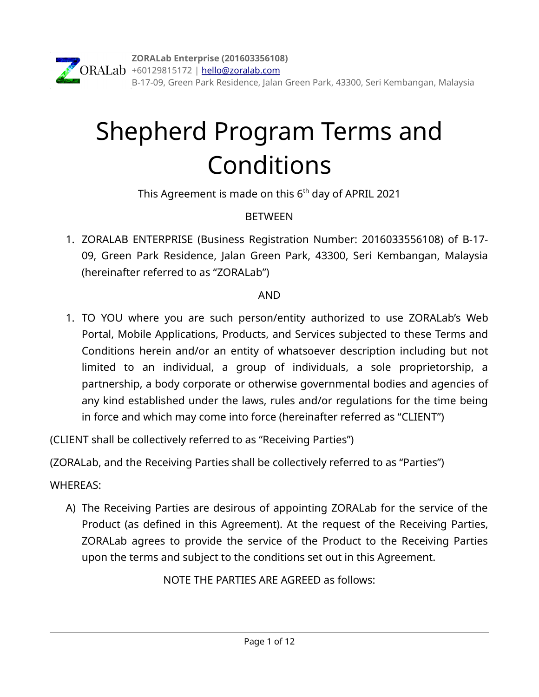# Shepherd Program Terms and Conditions

This Agreement is made on this  $6<sup>th</sup>$  day of APRIL 2021

## **BETWEEN**

1. ZORALAB ENTERPRISE (Business Registration Number: 2016033556108) of B-17- 09, Green Park Residence, Jalan Green Park, 43300, Seri Kembangan, Malaysia (hereinafter referred to as "ZORALab")

### AND

1. TO YOU where you are such person/entity authorized to use ZORALab's Web Portal, Mobile Applications, Products, and Services subjected to these Terms and Conditions herein and/or an entity of whatsoever description including but not limited to an individual, a group of individuals, a sole proprietorship, a partnership, a body corporate or otherwise governmental bodies and agencies of any kind established under the laws, rules and/or regulations for the time being in force and which may come into force (hereinafter referred as "CLIENT")

(CLIENT shall be collectively referred to as "Receiving Parties")

(ZORALab, and the Receiving Parties shall be collectively referred to as "Parties")

## WHEREAS:

A) The Receiving Parties are desirous of appointing ZORALab for the service of the Product (as defined in this Agreement). At the request of the Receiving Parties, ZORALab agrees to provide the service of the Product to the Receiving Parties upon the terms and subject to the conditions set out in this Agreement.

NOTE THE PARTIES ARE AGREED as follows: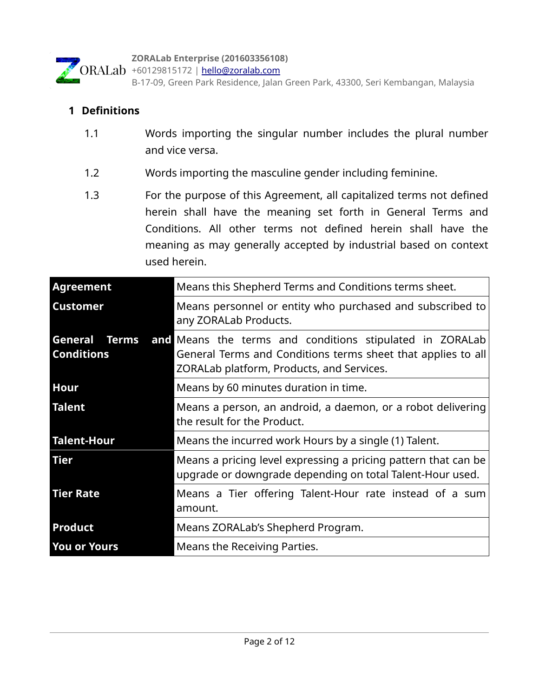

B-17-09, Green Park Residence, Jalan Green Park, 43300, Seri Kembangan, Malaysia

#### **1 Definitions**

- 1.1 Words importing the singular number includes the plural number and vice versa.
- 1.2 Words importing the masculine gender including feminine.
- 1.3 For the purpose of this Agreement, all capitalized terms not defined herein shall have the meaning set forth in General Terms and Conditions. All other terms not defined herein shall have the meaning as may generally accepted by industrial based on context used herein.

| <b>Agreement</b>    | Means this Shepherd Terms and Conditions terms sheet.                                                                                                                                      |  |
|---------------------|--------------------------------------------------------------------------------------------------------------------------------------------------------------------------------------------|--|
| <b>Customer</b>     | Means personnel or entity who purchased and subscribed to<br>any ZORALab Products.                                                                                                         |  |
| <b>Conditions</b>   | <b>General Terms and Means the terms and conditions stipulated in ZORALab</b><br>General Terms and Conditions terms sheet that applies to all<br>ZORALab platform, Products, and Services. |  |
| <b>Hour</b>         | Means by 60 minutes duration in time.                                                                                                                                                      |  |
| Talent              | Means a person, an android, a daemon, or a robot delivering<br>the result for the Product.                                                                                                 |  |
| Talent-Hour         | Means the incurred work Hours by a single (1) Talent.                                                                                                                                      |  |
| <b>Tier</b>         | Means a pricing level expressing a pricing pattern that can be<br>upgrade or downgrade depending on total Talent-Hour used.                                                                |  |
| <b>Tier Rate</b>    | Means a Tier offering Talent-Hour rate instead of a sum<br>amount.                                                                                                                         |  |
| Product             | Means ZORALab's Shepherd Program.                                                                                                                                                          |  |
| <b>You or Yours</b> | Means the Receiving Parties.                                                                                                                                                               |  |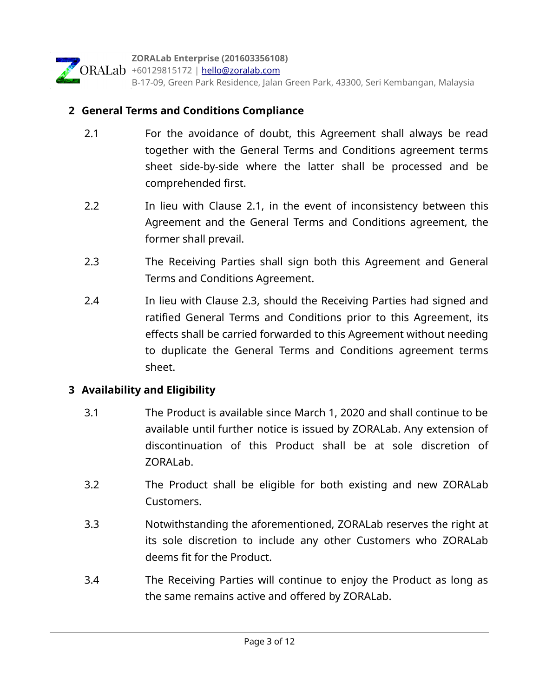

#### **2 General Terms and Conditions Compliance**

- 2.1 For the avoidance of doubt, this Agreement shall always be read together with the General Terms and Conditions agreement terms sheet side-by-side where the latter shall be processed and be comprehended first.
- 2.2 In lieu with Clause 2.1, in the event of inconsistency between this Agreement and the General Terms and Conditions agreement, the former shall prevail.
- 2.3 The Receiving Parties shall sign both this Agreement and General Terms and Conditions Agreement.
- 2.4 In lieu with Clause 2.3, should the Receiving Parties had signed and ratified General Terms and Conditions prior to this Agreement, its effects shall be carried forwarded to this Agreement without needing to duplicate the General Terms and Conditions agreement terms sheet.

#### **3 Availability and Eligibility**

- 3.1 The Product is available since March 1, 2020 and shall continue to be available until further notice is issued by ZORALab. Any extension of discontinuation of this Product shall be at sole discretion of ZORALab.
- 3.2 The Product shall be eligible for both existing and new ZORALab Customers.
- 3.3 Notwithstanding the aforementioned, ZORALab reserves the right at its sole discretion to include any other Customers who ZORALab deems fit for the Product.
- 3.4 The Receiving Parties will continue to enjoy the Product as long as the same remains active and offered by ZORALab.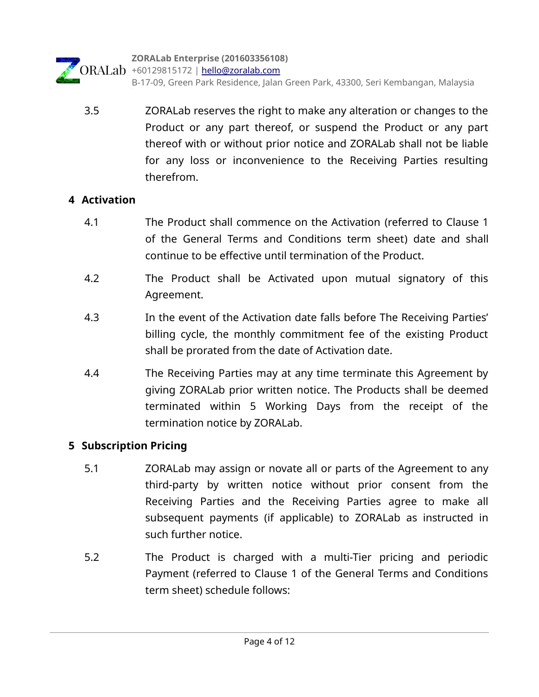

 3.5 ZORALab reserves the right to make any alteration or changes to the Product or any part thereof, or suspend the Product or any part thereof with or without prior notice and ZORALab shall not be liable for any loss or inconvenience to the Receiving Parties resulting therefrom.

#### **4 Activation**

- 4.1 The Product shall commence on the Activation (referred to Clause 1 of the General Terms and Conditions term sheet) date and shall continue to be effective until termination of the Product.
- 4.2 The Product shall be Activated upon mutual signatory of this Agreement.
- 4.3 In the event of the Activation date falls before The Receiving Parties' billing cycle, the monthly commitment fee of the existing Product shall be prorated from the date of Activation date.
- 4.4 The Receiving Parties may at any time terminate this Agreement by giving ZORALab prior written notice. The Products shall be deemed terminated within 5 Working Days from the receipt of the termination notice by ZORALab.

#### **5 Subscription Pricing**

- 5.1 ZORALab may assign or novate all or parts of the Agreement to any third-party by written notice without prior consent from the Receiving Parties and the Receiving Parties agree to make all subsequent payments (if applicable) to ZORALab as instructed in such further notice.
- 5.2 The Product is charged with a multi-Tier pricing and periodic Payment (referred to Clause 1 of the General Terms and Conditions term sheet) schedule follows: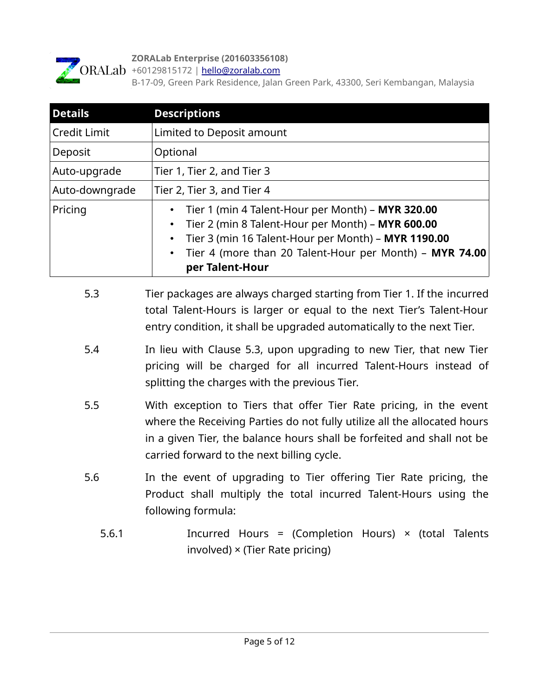

#### **ZORALab Enterprise (201603356108)**

ORALab +60129815172 | [hello@zoralab.com](mailto:hello@zoralab.com)

B-17-09, Green Park Residence, Jalan Green Park, 43300, Seri Kembangan, Malaysia

| <b>Details</b> | <b>Descriptions</b>                                                                                                                                                                                                                         |  |
|----------------|---------------------------------------------------------------------------------------------------------------------------------------------------------------------------------------------------------------------------------------------|--|
| Credit Limit   | Limited to Deposit amount                                                                                                                                                                                                                   |  |
| Deposit        | Optional                                                                                                                                                                                                                                    |  |
| Auto-upgrade   | Tier 1, Tier 2, and Tier 3                                                                                                                                                                                                                  |  |
| Auto-downgrade | Tier 2, Tier 3, and Tier 4                                                                                                                                                                                                                  |  |
| Pricing        | Tier 1 (min 4 Talent-Hour per Month) - MYR 320.00<br>Tier 2 (min 8 Talent-Hour per Month) - MYR 600.00<br>Tier 3 (min 16 Talent-Hour per Month) - MYR 1190.00<br>Tier 4 (more than 20 Talent-Hour per Month) - MYR 74.00<br>per Talent-Hour |  |

- 5.3 Tier packages are always charged starting from Tier 1. If the incurred total Talent-Hours is larger or equal to the next Tier's Talent-Hour entry condition, it shall be upgraded automatically to the next Tier.
- 5.4 In lieu with Clause 5.3, upon upgrading to new Tier, that new Tier pricing will be charged for all incurred Talent-Hours instead of splitting the charges with the previous Tier.
- 5.5 With exception to Tiers that offer Tier Rate pricing, in the event where the Receiving Parties do not fully utilize all the allocated hours in a given Tier, the balance hours shall be forfeited and shall not be carried forward to the next billing cycle.
- 5.6 In the event of upgrading to Tier offering Tier Rate pricing, the Product shall multiply the total incurred Talent-Hours using the following formula:
	- 5.6.1 Incurred Hours = (Completion Hours) × (total Talents involved) × (Tier Rate pricing)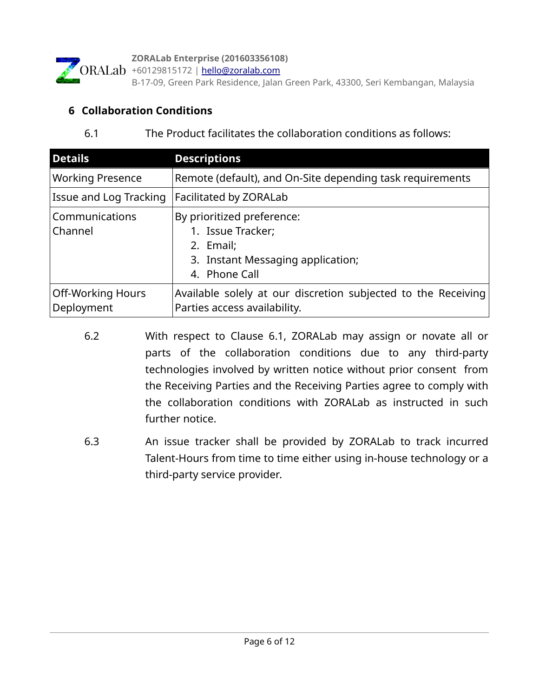

**ZORALab Enterprise (201603356108)**

ORALab +60129815172 | [hello@zoralab.com](mailto:hello@zoralab.com)

B-17-09, Green Park Residence, Jalan Green Park, 43300, Seri Kembangan, Malaysia

#### **6 Collaboration Conditions**

#### 6.1 The Product facilitates the collaboration conditions as follows:

| <b>Details</b>                         | <b>Descriptions</b>                                                                                                |  |
|----------------------------------------|--------------------------------------------------------------------------------------------------------------------|--|
| <b>Working Presence</b>                | Remote (default), and On-Site depending task requirements                                                          |  |
| Issue and Log Tracking                 | Facilitated by ZORALab                                                                                             |  |
| Communications<br>Channel              | By prioritized preference:<br>1. Issue Tracker;<br>2. Email;<br>3. Instant Messaging application;<br>4. Phone Call |  |
| <b>Off-Working Hours</b><br>Deployment | Available solely at our discretion subjected to the Receiving<br>Parties access availability.                      |  |

- 6.2 With respect to Clause 6.1, ZORALab may assign or novate all or parts of the collaboration conditions due to any third-party technologies involved by written notice without prior consent from the Receiving Parties and the Receiving Parties agree to comply with the collaboration conditions with ZORALab as instructed in such further notice.
- 6.3 An issue tracker shall be provided by ZORALab to track incurred Talent-Hours from time to time either using in-house technology or a third-party service provider.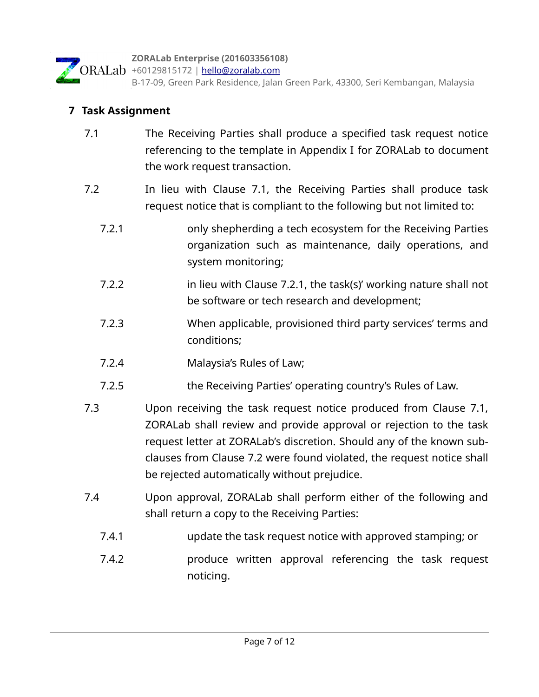

B-17-09, Green Park Residence, Jalan Green Park, 43300, Seri Kembangan, Malaysia

#### **7 Task Assignment**

- 7.1 The Receiving Parties shall produce a specified task request notice referencing to the template in Appendix I for ZORALab to document the work request transaction.
- 7.2 In lieu with Clause 7.1, the Receiving Parties shall produce task request notice that is compliant to the following but not limited to:
	- 7.2.1 only shepherding a tech ecosystem for the Receiving Parties organization such as maintenance, daily operations, and system monitoring;
	- 7.2.2 in lieu with Clause 7.2.1, the task(s)' working nature shall not be software or tech research and development;
	- 7.2.3 When applicable, provisioned third party services' terms and conditions;
	- 7.2.4 Malaysia's Rules of Law;
	- 7.2.5 the Receiving Parties' operating country's Rules of Law.
- 7.3 Upon receiving the task request notice produced from Clause 7.1, ZORALab shall review and provide approval or rejection to the task request letter at ZORALab's discretion. Should any of the known subclauses from Clause 7.2 were found violated, the request notice shall be rejected automatically without prejudice.
- 7.4 Upon approval, ZORALab shall perform either of the following and shall return a copy to the Receiving Parties:
	- 7.4.1 update the task request notice with approved stamping; or
	- 7.4.2 produce written approval referencing the task request noticing.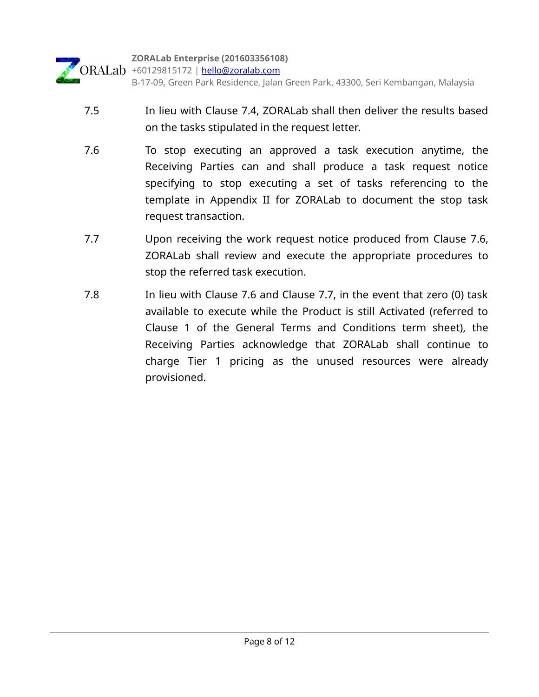

- 7.5 In lieu with Clause 7.4, ZORALab shall then deliver the results based on the tasks stipulated in the request letter.
- 7.6 To stop executing an approved a task execution anytime, the Receiving Parties can and shall produce a task request notice specifying to stop executing a set of tasks referencing to the template in Appendix II for ZORALab to document the stop task request transaction.
- 7.7 Upon receiving the work request notice produced from Clause 7.6, ZORALab shall review and execute the appropriate procedures to stop the referred task execution.
- 7.8 In lieu with Clause 7.6 and Clause 7.7, in the event that zero (0) task available to execute while the Product is still Activated (referred to Clause 1 of the General Terms and Conditions term sheet), the Receiving Parties acknowledge that ZORALab shall continue to charge Tier 1 pricing as the unused resources were already provisioned.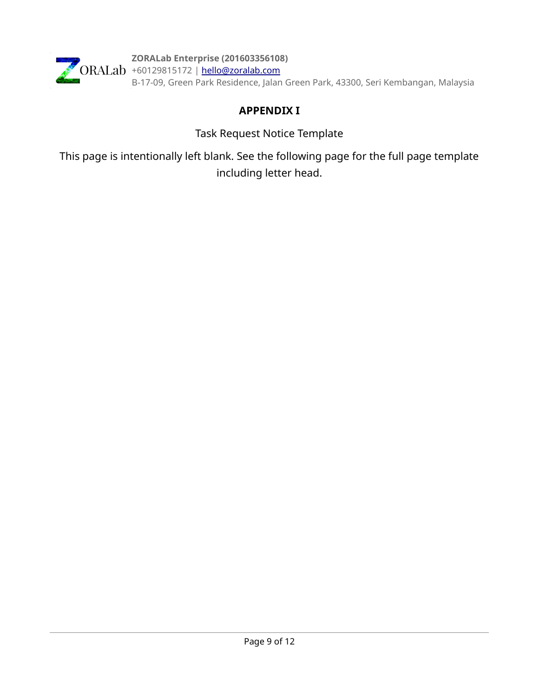

**ZORALab Enterprise (201603356108)** +60129815172 | <u>hello@zoralab.com</u> B-17-09, Green Park Residence, Jalan Green Park, 43300, Seri Kembangan, Malaysia

### **APPENDIX I**

Task Request Notice Template

This page is intentionally left blank. See the following page for the full page template including letter head.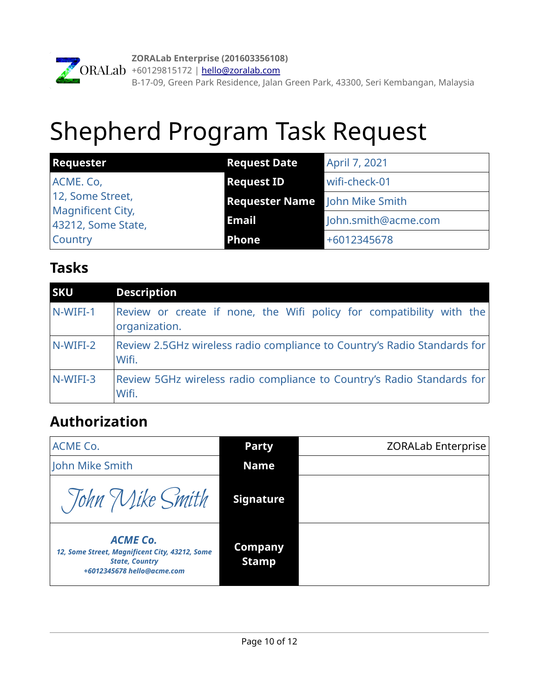

# Shepherd Program Task Request

| <b>Requester</b>                               | <b>Request Date</b>                   | April 7, 2021       |
|------------------------------------------------|---------------------------------------|---------------------|
| ACME. Co,                                      | <b>Request ID</b>                     | wifi-check-01       |
| 12, Some Street,                               | <b>Requester Name</b> John Mike Smith |                     |
| <b>Magnificent City,</b><br>43212, Some State, | <b>Email</b>                          | John.smith@acme.com |
| <b>Country</b>                                 | <b>Phone</b>                          | +6012345678         |

## **Tasks**

| <b>SKU</b> | <b>Description</b>                                                                    |
|------------|---------------------------------------------------------------------------------------|
| N-WIFI-1   | Review or create if none, the Wifi policy for compatibility with the<br>organization. |
| N-WIFI-2   | Review 2.5GHz wireless radio compliance to Country's Radio Standards for<br>Wifi.     |
| N-WIFI-3   | Review 5GHz wireless radio compliance to Country's Radio Standards for<br>Wifi.       |

# **Authorization**

| ACME Co.                                                                                                                 | <b>Party</b>                   | <b>ZORALab Enterprise</b> |
|--------------------------------------------------------------------------------------------------------------------------|--------------------------------|---------------------------|
| John Mike Smith                                                                                                          | Name                           |                           |
| Tohn Mike Smith                                                                                                          | <b>Signature</b>               |                           |
| <b>ACME Co.</b><br>12, Some Street, Magnificent City, 43212, Some<br><b>State, Country</b><br>+6012345678 hello@acme.com | <b>Company</b><br><b>Stamp</b> |                           |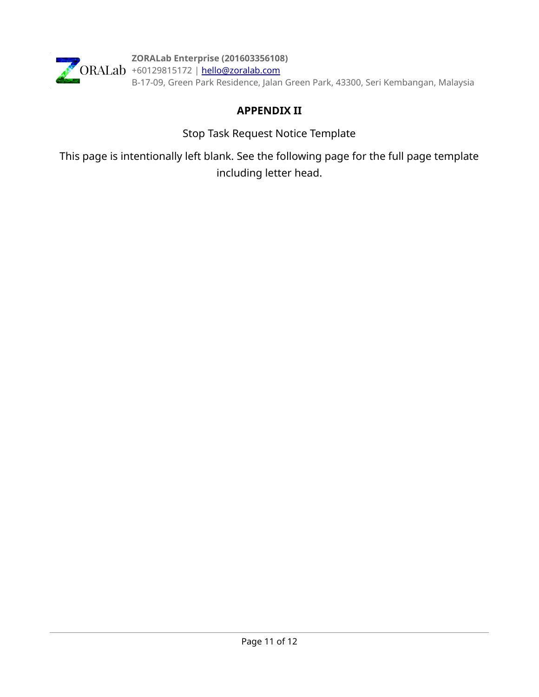

**ZORALab Enterprise (201603356108)** +60129815172 | <u>hello@zoralab.com</u> B-17-09, Green Park Residence, Jalan Green Park, 43300, Seri Kembangan, Malaysia

### **APPENDIX II**

Stop Task Request Notice Template

This page is intentionally left blank. See the following page for the full page template including letter head.